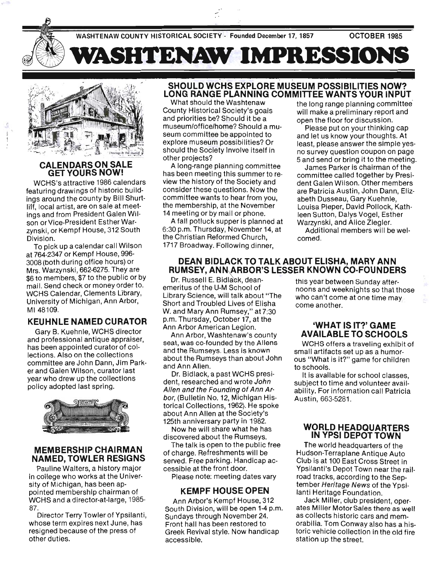

 $\sqrt{2}$ 

#### **CALENDARS ON SALE** GET YOURS NOW!

WCHS's attractive 1986 calendars featuring drawings of historic buildings around the county by Bill Shurtliff, local artist, are on sale at meetings and from President Galen Wilson or Vice-President Esther Warzynski, or Kempf House, 312 South Division.

To pick up a calendar call Wilson at 764-2347 or Kempf House, 996- 3008 (both during office hours) or Mrs. Warzynski, 662-6275. They are \$6 to members, \$7 to the public or by mail. Send check or money order to. WCHS Calendar, Clements Library, University of Michigan, Ann Arbor, M148109.

#### KEUHNLE NAMED CURATOR

Gary B. Kuehnle, WCHS director and professional antique appraiser, has been appointed curator of collections. Also on the collections committee are John Dann, Jim Parker and Galen Wilson, curator last year who drew up the collections policy adopted last spring.



#### MEMBERSHIP CHAIRMAN NAMED, TOWLER RESIGNS

Pauline Walters, a history major in college who works at the University of Michigan, has been appointed membership chairman of . WCHS and a director-at-Iarge, 1985- 87.

Director Terry Towler of Ypsilanti, whose term expires next June, has resigned because of the press of other duties.

## SHOULD WCHS EXPLORE MUSEUM POSSIBILITIES NOW? LONG RANGE PLANNING COMMITTEE WANTS YOUR INPUT

What should the Washtenaw the long range planning committee County Historical Society's goals will make a preliminary report and and priorities be? Should it be a open the floor for discussion. museum/office/home? Should a mu- Please put on your thinking cap seum committee be appointed to and let us know your thoughts. At explore museum possibilities? Or least, please answer the simple yesshould the Society involve itself in no survey question coupon on page other projects? 5 and send or bring it to the meeting.

;\II. 'WASRTENAW **IMPRESSIONS** 

A long-range planning committee James Parker is chairman of the has been meeting this summer to re-<br>committee called together by Presiview the history of the Society and dent Galen Wilson. Other members consider these questions. Now the are Patricia Austin, John Dann, Elizcommittee wants to hear from you, abeth Dusseau, Gary Kuehnle, the membership, at the November Louisa Pieper, David Pollock, Kath-14 meeting or by mail or phone. leen Sutton, Dalys Vogel, Esther

A fall potluck supper is planned at Warzynski, and Alice Ziegler. 6:30 p.m. Thursday, November 14, at Additional members will be welthe Christian Reformed Church, comed 1717 Broadway. Following dinner,

#### DEAN BIDLACK TO TALK ABOUT ELISHA, MARY ANN RUMSEY, ANN ARBOR'S LESSER KNOWN CO·FOUNDERS

Dr. Russell E. Bidlack, dean-<br>emeritus of the U-M School of the poons and weeksights as that the Library Science, will talk about "The who can't come at one time may Short and Troubled Lives of Elisha come another. W. and Mary Ann Rumsey," at 7:30 p.m. Thursday, October 17, at the Ann Arbor American Legion.

Ann Arbor, Washtenaw's county seat, was co-founded by the Aliens and the Rumseys. Less is known about the Rumseys than about John and Ann Allen.

Dr. Bidlack, a past WCHS president, researched and wrote John Allen and the Founding of Ann Arbor, (Bulletin No. 12, Michigan Historical Collections, 1962). He spoke about Ann Allen at the Society's 125th anniversary party in 1982.

Now he will share what he has discovered about the Rumseys.

The talk is open to the public free of charge. Refreshments will be served. Free parking. Handicap accessible at the front door.

Please note: meeting dates vary

#### KEMPF HOUSE OPEN

Ann Arbor's Kempf House, 312 South Division, will be open 1-4 p.m. Sundays through November 24. Front hall has been restored to Greek Revival style. Now handicap accessible.

noons and weeknights so that those

## 'WHAT IS IT?' GAME AVAILABLE TO SCHOOLS

WCHS offers a traveling exhibit of small artifacts set up as a humorous "What is it?" game for children to schools.

It is available for school classes, subject to time and volunteer availability. For information call Patricia Austin, 663-5281.

#### WORLD HEADQUARTERS IN YPSI DEPOT TOWN

The world headquarters of the Hudson-Terraplane Antique Auto Club is at 100 East Cross Street in Ypsilanti's Depot Town near the railroad tracks, according to the September Heritage News of the Ypsilanti Heritage Foundation.

Jack Miller, club president, operates Miller Motor Sales there as well as collects historic cars and memorabilia. Tom Conway also has a his· toric vehicle collection in the old fire station up the street.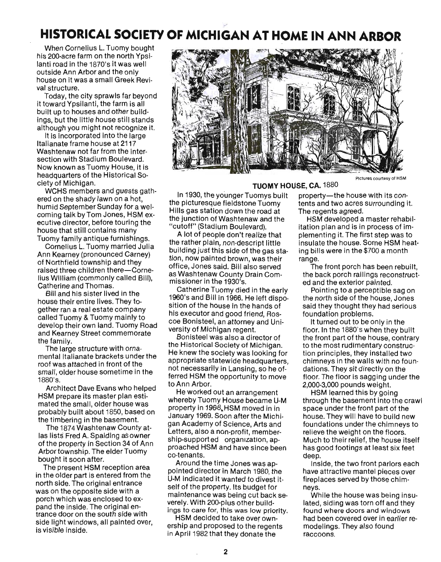# **HISTORICAL SOCIETY OF MICHIGAN AT HOME IN ANN ARBOR**

When Cornelius L. Tuomy bought his 200-acre farm on the north Ypsilanti road in the 1870's it was well outside Ann Arbor and the only house on it was a small Greek Revival structure.

Today, the city sprawls far beyond it toward Ypsilanti, the farm is all built up to houses and other buildings, but the little house still stands although you might not recognize it.

It is incorporated into the large Italianate frame house at 2117 Washtenaw not far from the intersection with Stadium Boulevard. Now known as Tuomy House, it is headquarters of the Historical Society of Michigan.

WCHS members and guests gathered on the shady lawn on a hot, humid September Sunday for a welcoming talk by Tom Jones, HSM executive director, before touring the house that still contains many Tuomy family antique furnishings.

Cornelius L. Tuomy married Julia Ann Kearney (pronounced Carney) of Northfield township and they raised three children there-Cornelius William (commonly called Bill), Catherine and Thomas.

Bill and his sister lived in the house their entire lives. They together ran a real estate company called Tuomy & Tuomy mainly to develop their own land. Tuomy Road and Kearney Street commemorate the family.

The large structure with ornamental Italianate brackets under the roof was attached in front of the small, older house sometime in the 1880's.

Architect Dave Evans who helped . HSM prepare its master plan estimated the small, older house was probably built about 1850, based on the timbering in the basement.

The 1874 Washtenaw County atlas lists Fred A. Spalding asowner of the property in Section 34 of Ann Arbor township. The elder Tuomy bought it soon after.

The present HSM reception area in the older part is entered from the north side. The original entrance was on the opposite side with a porch which was enclosed to expand the inside. The original entrance door on the south side with side light windows, all painted over, is visible inside.



**TUOMY HOUSE, CA. 1880** 

In 1930, the younger Tuomys built property—the house with its conthe picturesque fieldstone Tuomy tents and two acres surrounding it. Hills gas station down the road at The regents agreed. the junction of Washtenaw and the HSM developed a master rehabil-

building just this side of the gas sta- ing bills were in the \$700 a month tion, now painted brown, was their range. office, Jones said. Bill also served The front porch has been rebuilt, as Washtenaw County Drain Com- the back porch railings reconstructmissioner in the 1930's. ed and the exterior painted.

Catherine Tuomy died in the early Pointing to a perceptible sag on 1960's and Bill in 1966. He left dispo- the north side of the house, Jones sition of the house in the hands of said they thought they had serious his executor and good friend, Rostoundation problems. coe Bonisteel, an attorney and Uni- It turned out to be only in the versity of Michigan regent. **floor.** In the 1880's when they built

the Historical Society of Michigan. to the most rudimentary construc-He knew the society was looking for tion principles, they installed two appropriate statewide headquarters, chimneys in the walls with no founnot necessarily in Lansing, so he of- dations. They sit directly on the ferred HSM the opportunity to move floor. The floor is sagging under the to Ann Arbor. 2,000-3,000 pounds weight.

He worked out an arrangement HSM learned this by going property in 1968. HSM moved in in space under the front part of the January 1969. Soon after the Michi- house. They will have to build new gan Academy of Science, Arts and foundations under the chimneys to Letters, also a non-profit, member-<br>relieve the weight on the floors. ship-supported organization, ap- Much to their relief, the house itself proached HSM and have since been has good footings at least six feet co-tenants. deep.

pointed director in March 1980, the have attractive mantel pieces over U-M indicated it wanted to divest it- fireplaces served by those chimself of the property. Its budget for neys. maintenance was being cut back se-<br>While the house was being insuverely. With 200-plus other build- lated, siding was torn off and they ings to care for, this was low priority. found where doors and windows

ership and proposed to the regents modelings. They also found in April 1982 that they donate the raccoons.

"cutoff" (Stadium Boulevard). itation plan and is in process of im-A lot of people don't realize that plementing it. The first step was to the rather plain, non-descript little insulate the house. Some HSM heat-

Bonisteel was also a director of the front part of the house, contrary

whereby Tuomy House became U-M . through the basement into the crawl

Around the time Jones was ap- Inside, the two front parlors each

HSM decided to take over own- had been covered over in earlier re-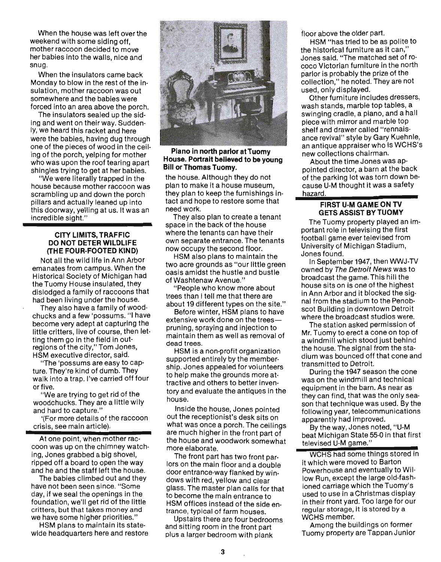When the house was left over the weekend with some siding off, mother raccoon decided to move her babies into the walls, nice and snug.

When the insulators came back Monday to blow in the rest of the insulation, mother raccoon was out somewhere and the babies were forced into an area above the porch.

. The insulators sealed up the siding and went on their way. Suddenly, we heard this racket and here were the babies, having dug through one of the pieces of wood in the ceiling of the porch, yelping for mother who was upon the roof tearing apart shingles trying to get at her babies.

"We were literally trapped in the house because mother raccoon was scrambling up and down the porch pillars and actually leaned up into this doorway, yelling at us. It was an incredible Sight."

#### CITY LIMITS, TRAFFIC DO NOT DETER WILDLIFE (THE FOUR-FOOTED KIND)

Not all the wild life in Ann Arbor emanates from campus. When the Historical Society of Michigan had the Tuomy House insulated, they dislodged a family of raccoons that had been living under the house.

They also have a family of woodchucks and a few 'possums. "I have become very adept at capturing the little critters, live of course, then letting them go in the field in outregions of the city," Tom Jones, HSM executive director, said.

"The 'possums are easy to capture. They're kind of dumb. They walk into a trap. I've carried off four or five.

"We are trying to get rid of the woodchucks. They are a little wily and hard to capture."

'(For more details of the raccoon crisis, see main article).

At one point, when mother rac coon was up on the chimney watching, Jones grabbed a big shovel, ripped off a board to open the way and he and the staff left the house.

The babies climbed out and they have not been seen since. "Some day, if we seal the openings in the foundation, we'll get rid of the little critters, but that takes money and we have some higher priorities."

HSM plans to maintain its statewide headquarters here and restore



#### Piano in north parlor at Tuomy House. Portrait believed to be young Bill or Thomas Tuomy\_

the house. Although they do not plan to make it a house museum they plan to keep the furnishings intact and hope to restore some that need work.

They also plan to create a tenant space in the back of the house where the tenants can have their own separate entrance. The tenants now occupy the second floor.

HSM also plans to maintain the two acre grounds as "our little green oasis amidst the hustle and bustle of Washtenaw Avenue."

"People who know more about trees than I tell me that there are about 19 different types on the site."

Before winter, HSM plans to have extensive work done on the treespruning, spraying and injection to maintain them as well as removal of dead trees.

HSM is a non-profit organization supported entirely by the membership. Jones appealed for volunteers to help make the grounds more attractive and others to better inventory and evaluate the antiques in the house.

Inside the house; Jones pointed out the receptionist's desk sits on what was once a porch. The ceilings are much higher in the front part of the house and woodwork somewhat more elaborate.

The front part has two front parlors on the main floor and a double door entrance-way flanked by windows with red, yellow and clear glass. The master plan calls for that to become the main entrance to HSM offices instead of the side entrance, typical of farm houses.

Upstairs there are four bedrooms and sitting room in the front part plus a larQer bedroom with plank

floor above the older part.

HSM "has tried to be as polite to the historical furniture as it can." Jones said. "The matched set df rococo Victorian furniture in the north parlor is probably the prize of the collection," he noted. They are not used, only displayed.

Other furniture includes dressers wash stands, marble top tables, a swinging cradle, a piano, and a hall piece with mirror and marble top shelf and drawer called "rennaisance revival" style by Gary Kuehnle an antique appraiser who is WCHS's new collections chairman.

About the time Jones was appOinted director, a barn at the back of the parking lot was torn down because U-M thought it was a safety hazard.

#### FIRST U·M GAME ON TV GETS ASSIST BY TUOMY

The Tuomy property played an important role in televising the first football game ever televised from University of Michigan Stadium Jones found. '

In September 1947, then WWJ-TV owned by The Detroit News was to broadcast the game. This hill the house sits on is one of the highest in Ann Arbor and it blocked the signal from the stadium to the Penobscot Building in downtown Detroit where the broadcast studios were.

The station asked permission of Mr. Tuomy to erect a cone on top of a windmill which stood just behind the house. The signal from the stadium was bounced off that cone and transmitted to Detroit.

During the 1947 season the cone was on the windmill and technical equipment in the barn. As near as they can find, that was the only season that technique was used. By the following year, telecommunications apparently had improved.

By the way, Jones noted, " U-M beat Michigan State 55-0 in that first televised U-M game."

WCHS had some things stored in it which were moved to Barton Powerhouse and eventually to Willow Run, except the large old-fashioned carriage which the Tuomy's used to use in a Christmas display in their front yard. Too large for our regular storage, it is stored by a WCHS member.

Among the buildings on former Tuomy property are Tappan Junior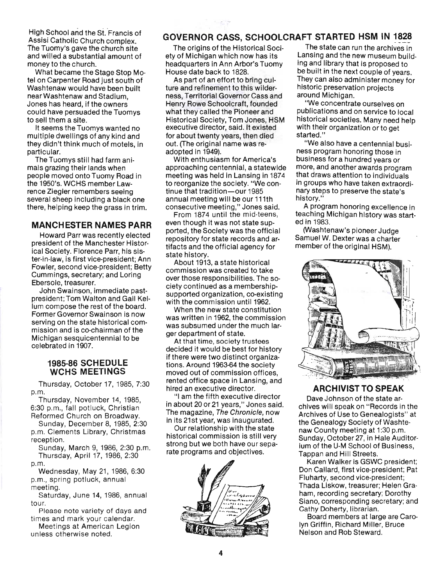High School and the St. Francis of Assisi Catholic Church complex. The Tuomy's gave the church site and willed a substantial amount of money to the church.

What became the Stage Stop Motel on Carpenter Road just south of Washtenaw would have been built near Washtenaw and Stadium, Jones has heard, if the owners could have persuaded the Tuomys to sell them a site.

It seems the Tuomys wanted no multiple dwellings of any kind and they didn't think much of motels, in particular.

The Tuomys still had farm animals grazing their lands when people moved onto Tuomy Road in the 1950's. WCHS member Lawrence Ziegler remembers seeing several sheep including a black one there, helping keep the grass in trim.

#### **MANCHESTER NAMES PARR**

Howard Parr was recently elected president of the Manchester Historical Society. Florence Parr, his sister-in-Iaw, is first vice-president; Ann Fowler, second vice-president; Betty Cummings, secretary; and Loring Ebersole, treasurer.

John Swainson, immediate pastpresident; Tom Walton and Gail Kellum compose the rest of the board. Former Governor Swainson is now serving on the state historical commission and is co-chairman of the Michigan sesquicentennial to be celebrated in 1907.

#### **1985·86 SCHEDULE WCHS MEETINGS**

Thursday, October 17, 1985, 7:30 p.m.

Thursday, November 14, 1985, 6:30 p.m., fall potluck, Christian Reformed Church on Broadway.

Sunday, December 8, 1985, 2:30 p.m. Clements Library, Christmas reception.

Sunday, March 9, 1986, 2:30 p.m. Thursday, April 17, 1986, 2:30 p.m.

Wednesday, May 21, 1986, 6:30 p.m., spring potluck, annual meeting.

Saturday, June 14, 1986, annual tour.

Please note variety of days and times and mark your calendar.

Meetings at American Legion unless otherwise noted.

# **GOVERNOR CASS, SCHOOLCRAFT STARTED HSM IN 1828**

ety of Michigan which now has its Lansing and the new museum build-<br>headquarters in Ann Arbor's Tuomy ling and library that is proposed to headquarters in Ann Arbor's Tuomy House date back to 1828. be built in the next couple of years.

ture and refinement to this wilder-<br>ness. Territorial Governor Cass and around Michigan. ness, Territorial Governor Cass and around Michigan.<br>Henry Rowe Schoolcraft. founded "We concentrate ourselves on Henry Rowe Schoolcraft, founded what they called the Pioneer and publications and on service to local<br>Historical Society, Tom Jones, HSM historical societies. Many need help executive director, said. It existed with their organization or to get<br>for about twenty years, then died started." for about twenty years, then died out. (The original name was re- "We also have a centennial busiadopted in 1949). These program honoring those in

approaching centennial, a statewide more, and another awards program meeting was held in Lansing in 1874 that draws attention to individuals<br>to reorganize the society. "We con-<br>in groups who have taken extraord to reorganize the society. "We con- in groups who have taken extraorditinue that tradition—our 1985 carry steps to preserve the state's annual meeting will be our 111th history."<br>consecutive meeting," Jones said.  $\blacksquare$  A program honoring excellence in consecutive meeting," Jones said.<br>From 1874 until the mid-teens,

even though it was not state sup-carried in 1983.<br>ported, the Society was the official contrast tensive spioneer Judge ported, the Society was the official (Washtenaw's pioneer Judge<br>repository for state records and ar-<br>Samuel W. Dexter was a charter repository for state records and ar-<br>tifacts and the official agency for state history.

About 1913, a state historical commission was created to take over those responsibilities. The society continued as a membershipsupported organization, co-existing with the commission until 1962.

When the new state constitution was written in 1962, the commission was subsumed under the much larger department of state.

At that time, society trustees decided it would be best for history if there were two distinct organizations. Around 1963-64 the society moved out of commission offices, rented office space in Lansing, and hired an executive director.

"I am the fifth executive director in about 20 or 21 years," Jones said. The magazine, The Chronicle, now in its 21st year, was inaugurated.

Our relationship with the state historical commission is still very strong but we both have our separate programs and objectives.



The origins of the Historical Soci- The state can run the archives in<br>y of Michigan which now has its Lansing and the new museum build-As part of an effort to bring cul-<br>They can also administer money for<br>historic preservation projects

historical societies. Many need help

With enthusiasm for America's business for a hundred years or hary steps to preserve the state's history."

teaching Michigan history was start-<br>ed in 1983.

member of the original HSM).



## **ARCHIVIST TO SPEAK**

Dave Johnson of the state archives will speak on "Records in the Archives of Use to Genealogists" at the Genealogy Society of Washtenaw County meeting at 1:30 p.m. Sunday, October 27, in Hale Auditorium of the U-M School of Business, Tappan and Hill Streets.

Karen Walker is GSWC president; Don Callard, first vice-president; Pat Fluharty, second vice-president; Thada Liskow, treasurer; Helen Graham, recording secretary; Dorothy Siano, corresponding secretary; and Cathy Doherty, librarian.

Board members at large are Carolyn Griffin, Richard Miller, Bruce Nelson and Rob Steward.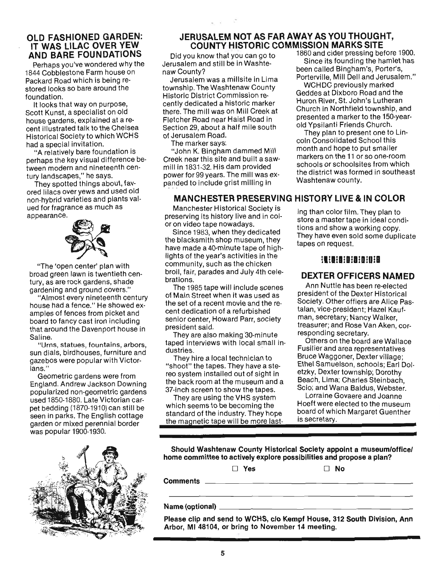## OLD FASHIONED GARDEN: IT WAS LILAC OVER YEW AND BARE FOUNDATIONS

Perhaps you've wondered why the 1844 Cobblestone Farm house on Packard Road which is being restored looks so bare around the foundation.

It looks that way on purpose, Scott Kunst, a specialist on old house gardens, explained at a recent illustrated talk to the Chelsea Historical Society to which WCHS had a special invitation.

"A relatively bare foundation is perhaps the key visual difference between modern and nineteenth century landscapes," he says.

They spotted things about, favored lilacs over yews and used old non-hybrid varieties and plants valued for fragrance as much as appearance.



"The 'open center' plan with broad green lawn is twentieth century, as are rock gardens, shade gardening and ground covers."

"Almost every nineteenth century house had a fence." He showed examples of fences from picket and board to fancy cast iron including that around the Davenport house in Saline.

"Urns, statues, fountains, arbors, sun dials, birdhouses, furniture and gazebos were popular with Victorians."

Geometric gardens were from England. Andrew Jackson Downing popularized non-geometric gardens used 1850-1880. Late Victorian carpet bedding (1870-1910) can still be seen in parks. The English cottage garden or mixed perennial border was popular 1900-1930.



#### JERUSALEM NOT AS FAR AWAY AS YOU THOUGHT, COUNTY HISTORIC COMMISSION MARKS SITE

Jerusalem and still be in Washtenaw County?<br>heen called Bingham's, Porter's,

township. The Washtenaw County<br>township. The Washtenaw County Geddes at Dixboro Road and the Historic District Commission re- Geddes at Dixboro Road and the cently dedicated a historic marker Section 29, about a half mile south of Jerusalem Road. They plan to present one to Lin-

Creek near this site and built a saw-<br>explores on the 11 or so one-room<br>schools or schoolsites from which mill in 1831-32. His dam provided power for so years. The milling in Washtenaw county.

## MANCHESTER PRESERVING HISTORY LIVE & IN COLOR

Manchester Historical Society is preserving its history live and in color on video tape nowadays.

Since 1983, when they dedicated the blacksmith shop museum, they have made a 40-minute tape of highlights of the year's activities in the community, such as the chicken broil, fair, parades and July 4th celebrations.

The 1985 tape will include scenes of Main Street when it was used as the set of a recent movie and the recent dedication of a refurbished senior center, Howard Parr, society president said.

They are also making '30-minute taped interviews with local small industries.

They hire a local technician to "shoot" the tapes. They have a stereo system installed out of sight in the back room at the museum and a 37-inch screen to show the tapes.

They are using the VHS system which seems to be becoming the standard of the industry. They hope the magnetic tape will be more last-

Did you know that you can go to 1860 and cider pressing before 1900.<br>Fuselom and still be in Washte. Since its founding the hamlet has Jerusalem was a millsite in Lima Porterville, Mill Dell and Jerusalem."

there. The mill was on Mill Creek at Church in Northfield township, and Fletcher Road in Fletcher Road in Fletcher Road in Fletcher Road in Fletcher Road in Fletcher Road in Fletcher Road in Planck Church.

Jerusalem Hoad:<br>The marker says: coin Consolidated School this<br>"Icha K. Biasham demmed Mill" month and hope to put smaller "John K. Bingham dammed Mill month and hope to put smaller power for 99 years. The mill was ex- the district was formed in southeast

> ing than color film. They plan to store a master tape in ideal conditions and show a working copy. They have even sold some duplicate tapes on request.

## !1!1!1!I!Dililil

## DEXTER OFFICERS NAMED

Ann Nuttle has been re-elected president of the Dexter Historical Society. Other offiers are Alice Pastalan, vice-president: Hazel Kaufman, secretary; Nancy Walker, treasurer; and Rose Van Aken, cor-<br>responding secretary.

Others on the board are Wallace Fusilier and area representatives Bruce Waggoner, Dexter village; Ethel Samuelson, schools; Earl Doletzky, Dexter township; Dorothy Beach, Lima; Charles Steinbach Scio; and Wana Baldus, Webster.

Lorraine Govaere and Joanne Hoeft were elected to the museum board of which Margaret Guenther is secretary.

Should Washtenaw County Historical Society appoint a museum/office/ home committee to actively explore possibilities and propose a plan?

 $\Box$  Yes  $\Box$  No

Comments \_\_\_\_\_\_\_\_\_\_\_\_\_\_\_\_\_\_\_\_\_ \_

# Name (optional)<br>
Name (optional)

Please clip and send to WCHS, c/o Kempf House, 312 South Division, Ann Arbor, MI 48104, or bring to November 14 meeting.